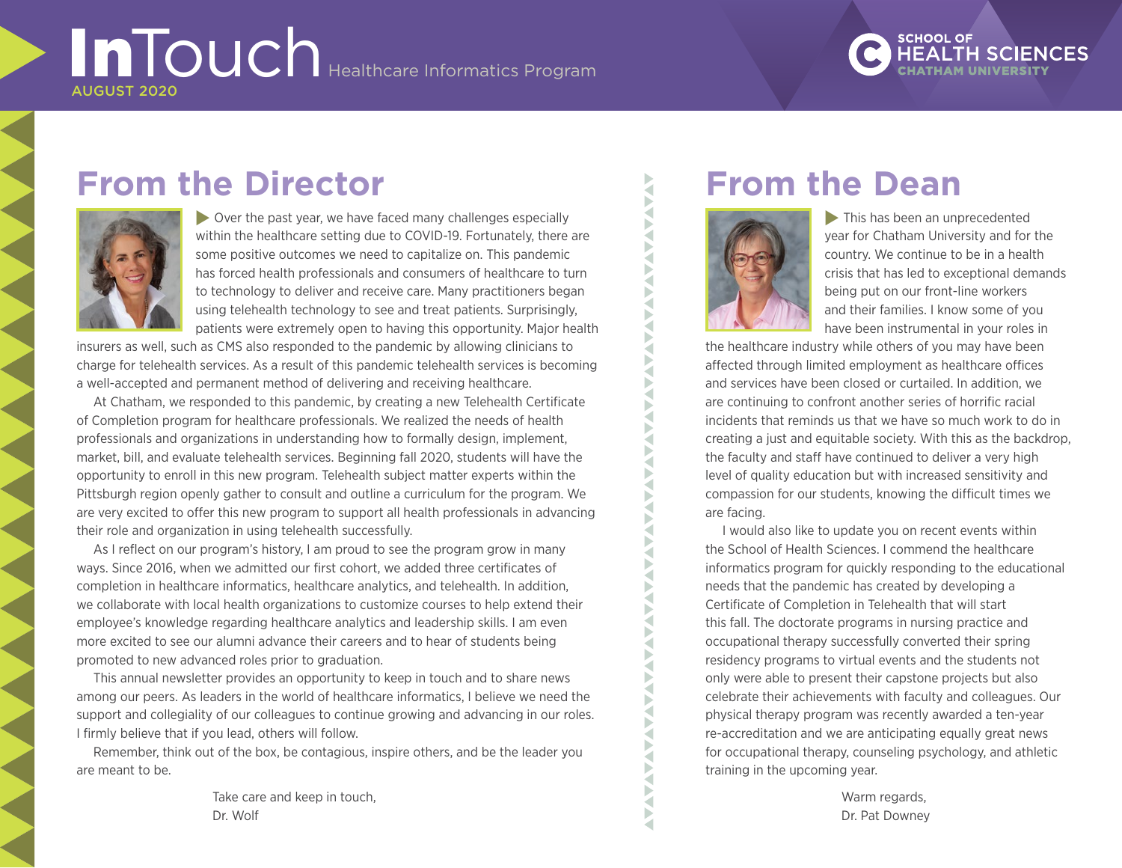# **InTouch** Healthcare Informatics Program AUGUST 2020

# **SCHOOL OF**

## **From the Director**



 $\triangleright$  Over the past year, we have faced many challenges especially within the healthcare setting due to COVID-19. Fortunately, there are some positive outcomes we need to capitalize on. This pandemic has forced health professionals and consumers of healthcare to turn to technology to deliver and receive care. Many practitioners began using telehealth technology to see and treat patients. Surprisingly, patients were extremely open to having this opportunity. Major health

insurers as well, such as CMS also responded to the pandemic by allowing clinicians to charge for telehealth services. As a result of this pandemic telehealth services is becoming a well-accepted and permanent method of delivering and receiving healthcare.

At Chatham, we responded to this pandemic, by creating a new Telehealth Certificate of Completion program for healthcare professionals. We realized the needs of health professionals and organizations in understanding how to formally design, implement, market, bill, and evaluate telehealth services. Beginning fall 2020, students will have the opportunity to enroll in this new program. Telehealth subject matter experts within the Pittsburgh region openly gather to consult and outline a curriculum for the program. We are very excited to offer this new program to support all health professionals in advancing their role and organization in using telehealth successfully.

As I reflect on our program's history, I am proud to see the program grow in many ways. Since 2016, when we admitted our first cohort, we added three certificates of completion in healthcare informatics, healthcare analytics, and telehealth. In addition, we collaborate with local health organizations to customize courses to help extend their employee's knowledge regarding healthcare analytics and leadership skills. I am even more excited to see our alumni advance their careers and to hear of students being promoted to new advanced roles prior to graduation.

This annual newsletter provides an opportunity to keep in touch and to share news among our peers. As leaders in the world of healthcare informatics, I believe we need the support and collegiality of our colleagues to continue growing and advancing in our roles. I firmly believe that if you lead, others will follow.

Remember, think out of the box, be contagious, inspire others, and be the leader you are meant to be.

> Take care and keep in touch, Dr. Wolf

## **From the Dean**



ł Б

ь ∢ Þ ∢

∢

 $\blacktriangleright$  This has been an unprecedented year for Chatham University and for the country. We continue to be in a health crisis that has led to exceptional demands being put on our front-line workers and their families. I know some of you have been instrumental in your roles in

the healthcare industry while others of you may have been affected through limited employment as healthcare offices and services have been closed or curtailed. In addition, we are continuing to confront another series of horrific racial incidents that reminds us that we have so much work to do in creating a just and equitable society. With this as the backdrop, the faculty and staff have continued to deliver a very high level of quality education but with increased sensitivity and compassion for our students, knowing the difficult times we are facing.

I would also like to update you on recent events within the School of Health Sciences. I commend the healthcare informatics program for quickly responding to the educational needs that the pandemic has created by developing a Certificate of Completion in Telehealth that will start this fall. The doctorate programs in nursing practice and occupational therapy successfully converted their spring residency programs to virtual events and the students not only were able to present their capstone projects but also celebrate their achievements with faculty and colleagues. Our physical therapy program was recently awarded a ten-year re-accreditation and we are anticipating equally great news for occupational therapy, counseling psychology, and athletic training in the upcoming year.

> Warm regards, Dr. Pat Downey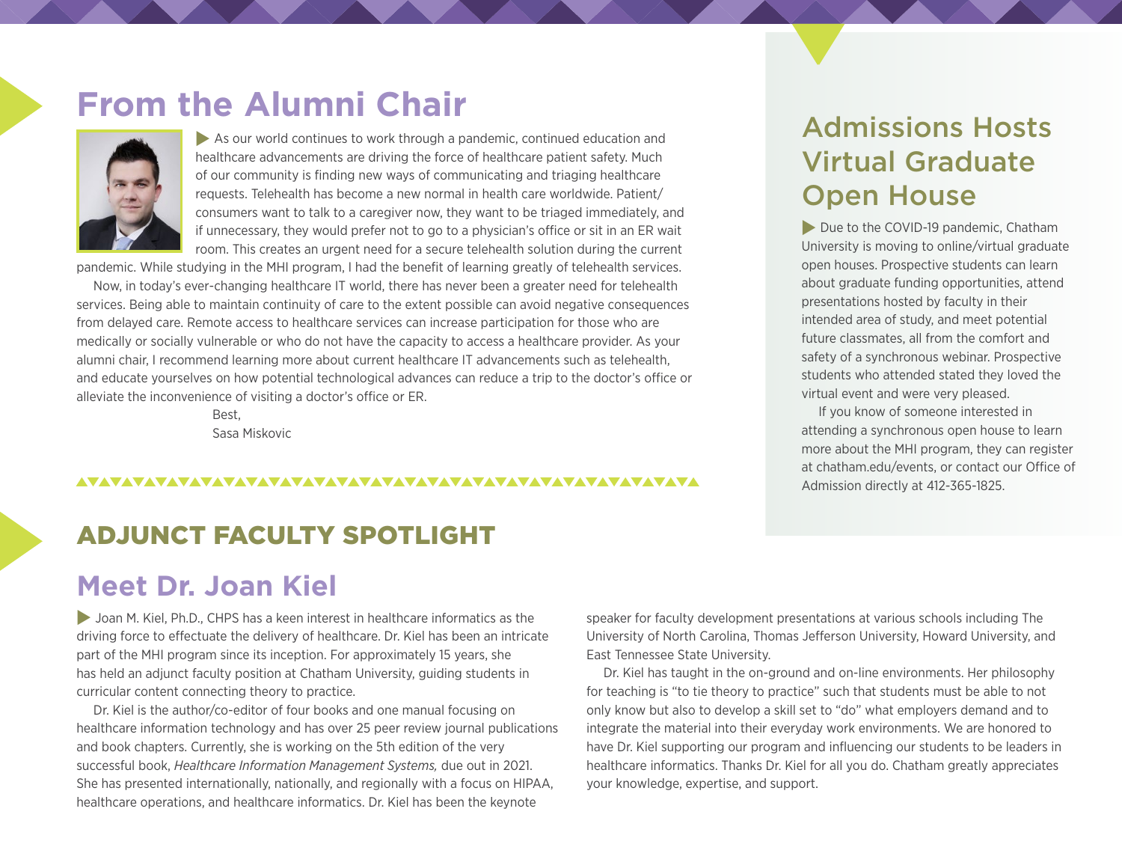## **From the Alumni Chair**



 $\blacktriangleright$  As our world continues to work through a pandemic, continued education and healthcare advancements are driving the force of healthcare patient safety. Much of our community is finding new ways of communicating and triaging healthcare requests. Telehealth has become a new normal in health care worldwide. Patient/ consumers want to talk to a caregiver now, they want to be triaged immediately, and if unnecessary, they would prefer not to go to a physician's office or sit in an ER wait room. This creates an urgent need for a secure telehealth solution during the current

pandemic. While studying in the MHI program, I had the benefit of learning greatly of telehealth services.

Now, in today's ever-changing healthcare IT world, there has never been a greater need for telehealth services. Being able to maintain continuity of care to the extent possible can avoid negative consequences from delayed care. Remote access to healthcare services can increase participation for those who are medically or socially vulnerable or who do not have the capacity to access a healthcare provider. As your alumni chair, I recommend learning more about current healthcare IT advancements such as telehealth, and educate yourselves on how potential technological advances can reduce a trip to the doctor's office or alleviate the inconvenience of visiting a doctor's office or ER.

> Best, Sasa Miskovic

#### 

## ADJUNCT FACULTY SPOTLIGHT

## **Meet Dr. Joan Kiel**

I Joan M. Kiel, Ph.D., CHPS has a keen interest in healthcare informatics as the driving force to effectuate the delivery of healthcare. Dr. Kiel has been an intricate part of the MHI program since its inception. For approximately 15 years, she has held an adjunct faculty position at Chatham University, guiding students in curricular content connecting theory to practice.

Dr. Kiel is the author/co-editor of four books and one manual focusing on healthcare information technology and has over 25 peer review journal publications and book chapters. Currently, she is working on the 5th edition of the very successful book, *Healthcare Information Management Systems,* due out in 2021. She has presented internationally, nationally, and regionally with a focus on HIPAA, healthcare operations, and healthcare informatics. Dr. Kiel has been the keynote

speaker for faculty development presentations at various schools including The University of North Carolina, Thomas Jefferson University, Howard University, and East Tennessee State University.

Dr. Kiel has taught in the on-ground and on-line environments. Her philosophy for teaching is "to tie theory to practice" such that students must be able to not only know but also to develop a skill set to "do" what employers demand and to integrate the material into their everyday work environments. We are honored to have Dr. Kiel supporting our program and influencing our students to be leaders in healthcare informatics. Thanks Dr. Kiel for all you do. Chatham greatly appreciates your knowledge, expertise, and support.

## Admissions Hosts Virtual Graduate Open House

Due to the COVID-19 pandemic, Chatham University is moving to online/virtual graduate open houses. Prospective students can learn about graduate funding opportunities, attend presentations hosted by faculty in their intended area of study, and meet potential future classmates, all from the comfort and safety of a synchronous webinar. Prospective students who attended stated they loved the virtual event and were very pleased.

If you know of someone interested in attending a synchronous open house to learn more about the MHI program, they can register at chatham.edu/events, or contact our Office of Admission directly at 412-365-1825.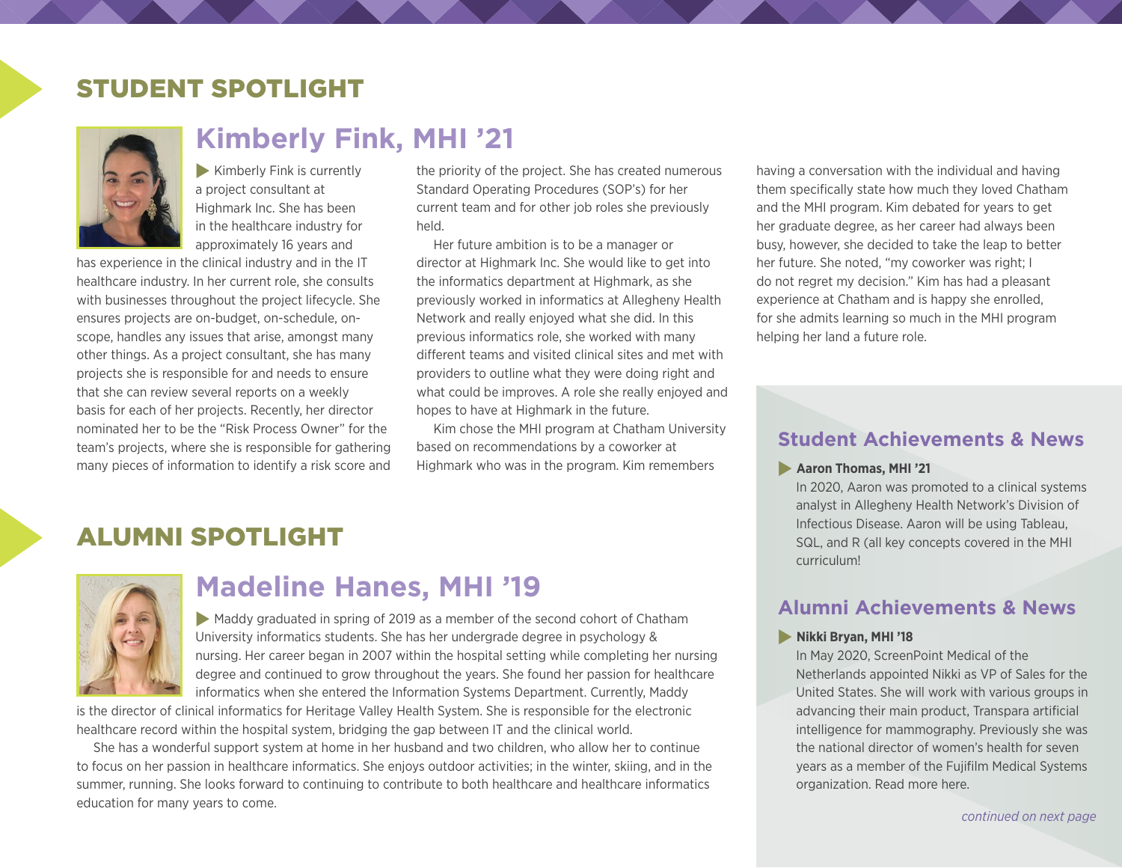## STUDENT SPOTLIGHT



## **Kimberly Fink, MHI '21**

 $\blacktriangleright$  Kimberly Fink is currently a project consultant at Highmark Inc. She has been in the healthcare industry for approximately 16 years and

has experience in the clinical industry and in the IT healthcare industry. In her current role, she consults with businesses throughout the project lifecycle. She ensures projects are on-budget, on-schedule, onscope, handles any issues that arise, amongst many other things. As a project consultant, she has many projects she is responsible for and needs to ensure that she can review several reports on a weekly basis for each of her projects. Recently, her director nominated her to be the "Risk Process Owner" for the team's projects, where she is responsible for gathering many pieces of information to identify a risk score and

the priority of the project. She has created numerous Standard Operating Procedures (SOP's) for her current team and for other job roles she previously held.

Her future ambition is to be a manager or director at Highmark Inc. She would like to get into the informatics department at Highmark, as she previously worked in informatics at Allegheny Health Network and really enjoyed what she did. In this previous informatics role, she worked with many different teams and visited clinical sites and met with providers to outline what they were doing right and what could be improves. A role she really enjoyed and hopes to have at Highmark in the future.

Kim chose the MHI program at Chatham University based on recommendations by a coworker at Highmark who was in the program. Kim remembers

### ALUMNI SPOTLIGHT



## **Madeline Hanes, MHI '19**

 $\blacktriangleright$  Maddy graduated in spring of 2019 as a member of the second cohort of Chatham University informatics students. She has her undergrade degree in psychology & nursing. Her career began in 2007 within the hospital setting while completing her nursing degree and continued to grow throughout the years. She found her passion for healthcare informatics when she entered the Information Systems Department. Currently, Maddy

is the director of clinical informatics for Heritage Valley Health System. She is responsible for the electronic healthcare record within the hospital system, bridging the gap between IT and the clinical world.

She has a wonderful support system at home in her husband and two children, who allow her to continue to focus on her passion in healthcare informatics. She enjoys outdoor activities; in the winter, skiing, and in the summer, running. She looks forward to continuing to contribute to both healthcare and healthcare informatics education for many years to come.

having a conversation with the individual and having them specifically state how much they loved Chatham and the MHI program. Kim debated for years to get her graduate degree, as her career had always been busy, however, she decided to take the leap to better her future. She noted, "my coworker was right; I do not regret my decision." Kim has had a pleasant experience at Chatham and is happy she enrolled, for she admits learning so much in the MHI program helping her land a future role.

#### **Student Achievements & News**

#### **Aaron Thomas, MHI '21**

In 2020, Aaron was promoted to a clinical systems analyst in Allegheny Health Network's Division of Infectious Disease. Aaron will be using Tableau, SQL, and R (all key concepts covered in the MHI curriculum!

#### **Alumni Achievements & News**

#### **Nikki Bryan, MHI '18**

In May 2020, ScreenPoint Medical of the Netherlands appointed Nikki as VP of Sales for the United States. She will work with various groups in advancing their main product, Transpara artificial intelligence for mammography. Previously she was the national director of women's health for seven years as a member of the Fujifilm Medical Systems organization. Read more [here](https://www.prweb.com/releases/screenpoint_medical_announces_key_senior_leadership_hire_vice_president_of_sales_for_the_us/prweb17119234.htm).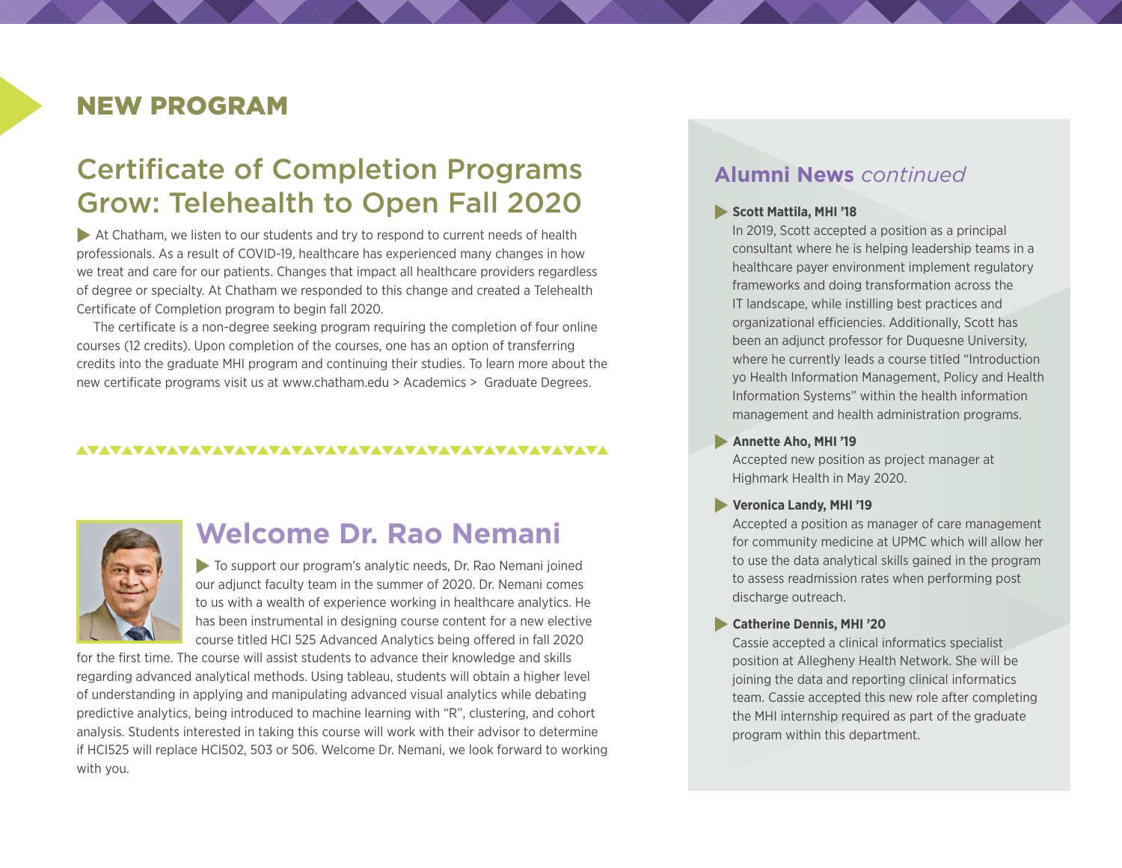### NEW PROGRAM

## Certificate of Completion Programs Grow: Telehealth to Open Fall 2020

 $\blacktriangleright$  At Chatham, we listen to our students and try to respond to current needs of health professionals. As a result of COVID-19, healthcare has experienced many changes in how we treat and care for our patients. Changes that impact all healthcare providers regardless of degree or specialty. At Chatham we responded to this change and created a Telehealth Certificate of Completion program to begin fall 2020.

The certificate is a non-degree seeking program requiring the completion of four online courses (12 credits). Upon completion of the courses, one has an option of transferring credits into the graduate MHI program and continuing their studies. To learn more about the new certificate programs visit us at [www.chatham.edu](https://www.chatham.edu/academics/graduate/telehealth-certificate/index.html) > Academics > Graduate Degrees.

#### 



## **Welcome Dr. Rao Nemani**

 $\blacktriangleright$  To support our program's analytic needs, Dr. Rao Nemani joined our adjunct faculty team in the summer of 2020. Dr. Nemani comes to us with a wealth of experience working in healthcare analytics. He has been instrumental in designing course content for a new elective course titled HCI 525 Advanced Analytics being offered in fall 2020

for the first time. The course will assist students to advance their knowledge and skills regarding advanced analytical methods. Using tableau, students will obtain a higher level of understanding in applying and manipulating advanced visual analytics while debating predictive analytics, being introduced to machine learning with "R", clustering, and cohort analysis. Students interested in taking this course will work with their advisor to determine if HCI525 will replace HCI502, 503 or 506. Welcome Dr. Nemani, we look forward to working with you.

#### **Alumni News** *continued*

#### **Scott Mattila, MHI '18**

In 2019, Scott accepted a position as a principal consultant where he is helping leadership teams in a healthcare payer environment implement regulatory frameworks and doing transformation across the IT landscape, while instilling best practices and organizational efficiencies. Additionally, Scott has been an adjunct professor for Duquesne University, where he currently leads a course titled "Introduction yo Health Information Management, Policy and Health Information Systems" within the health information management and health administration programs.

#### **Annette Aho, MHI '19**

Accepted new position as project manager at Highmark Health in May 2020.

#### **Veronica Landy, MHI '19**

Accepted a position as manager of care management for community medicine at UPMC which will allow her to use the data analytical skills gained in the program to assess readmission rates when performing post discharge outreach.

#### **Catherine Dennis, MHI '20**

Cassie accepted a clinical informatics specialist position at Allegheny Health Network. She will be joining the data and reporting clinical informatics team. Cassie accepted this new role after completing the MHI internship required as part of the graduate program within this department.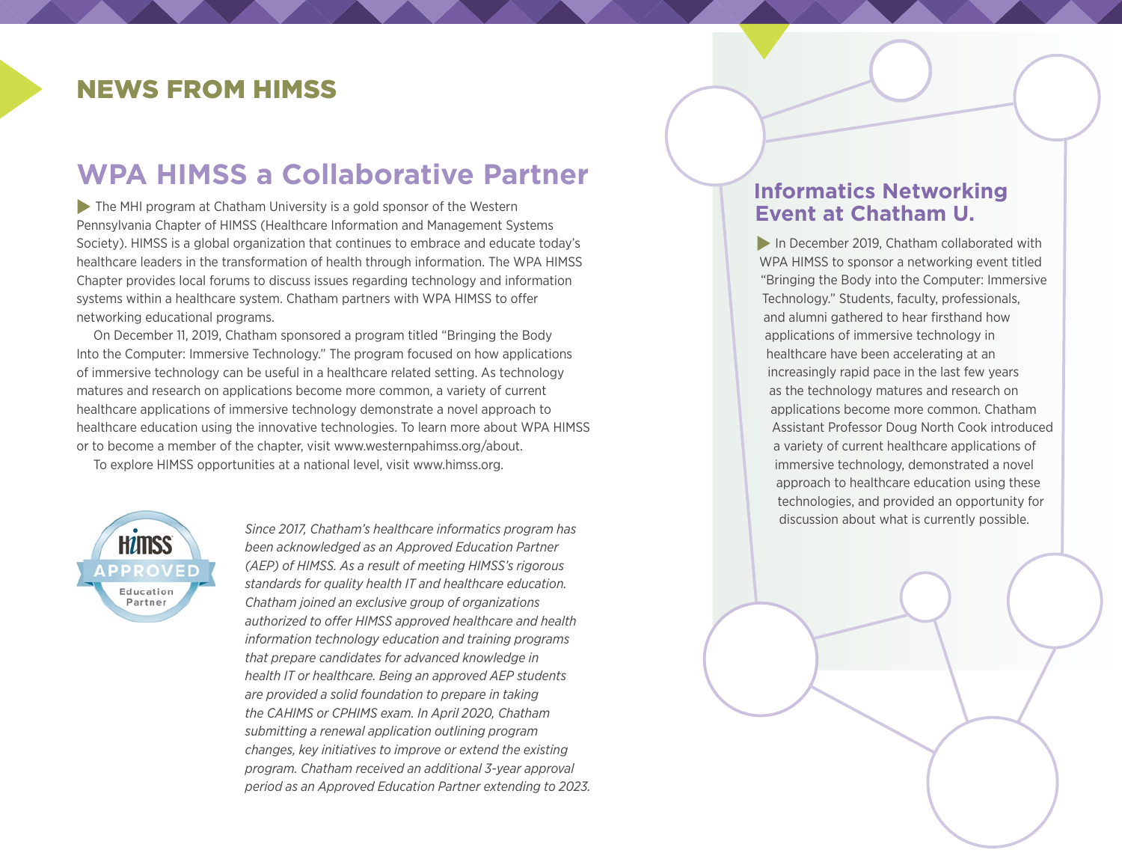## NEWS FROM HIMSS

## **WPA HIMSS a Collaborative Partner**

 $\blacktriangleright$  The MHI program at Chatham University is a gold sponsor of the Western Pennsylvania Chapter of HIMSS (Healthcare Information and Management Systems Society). HIMSS is a global organization that continues to embrace and educate today's healthcare leaders in the transformation of health through information. The WPA HIMSS Chapter provides local forums to discuss issues regarding technology and information systems within a healthcare system. Chatham partners with WPA HIMSS to offer networking educational programs.

On December 11, 2019, Chatham sponsored a program titled "Bringing the Body Into the Computer: Immersive Technology." The program focused on how applications of immersive technology can be useful in a healthcare related setting. As technology matures and research on applications become more common, a variety of current healthcare applications of immersive technology demonstrate a novel approach to healthcare education using the innovative technologies. To learn more about WPA HIMSS or to become a member of the chapter, visit [www.westernpahimss.org/about](https://www.westernpahimss.org/about/).

To explore HIMSS opportunities at a national level, visit [www.himss.org](https://www.himss.org/).



*Since 2017, Chatham's healthcare informatics program has been acknowledged as an Approved Education Partner (AEP) of HIMSS. As a result of meeting HIMSS's rigorous standards for quality health IT and healthcare education. Chatham joined an exclusive group of organizations authorized to offer HIMSS approved healthcare and health information technology education and training programs that prepare candidates for advanced knowledge in health IT or healthcare. Being an approved AEP students are provided a solid foundation to prepare in taking the [CAHIMS](http://www.himss.org/health-it-certification/cahims) or [CPHIMS](http://www.himss.org/health-it-certification/cphims) exam. In April 2020, Chatham submitting a renewal application outlining program changes, key initiatives to improve or extend the existing program. Chatham received an additional 3-year approval period as an Approved Education Partner extending to 2023.* 

#### **Informatics Networking Event at Chatham U.**

 $\blacksquare$  In December 2019, Chatham collaborated with WPA HIMSS to sponsor a networking event titled "Bringing the Body into the Computer: Immersive Technology." Students, faculty, professionals, and alumni gathered to hear firsthand how applications of immersive technology in healthcare have been accelerating at an increasingly rapid pace in the last few years as the technology matures and research on applications become more common. Chatham Assistant Professor Doug North Cook introduced a variety of current healthcare applications of immersive technology, demonstrated a novel approach to healthcare education using these technologies, and provided an opportunity for discussion about what is currently possible.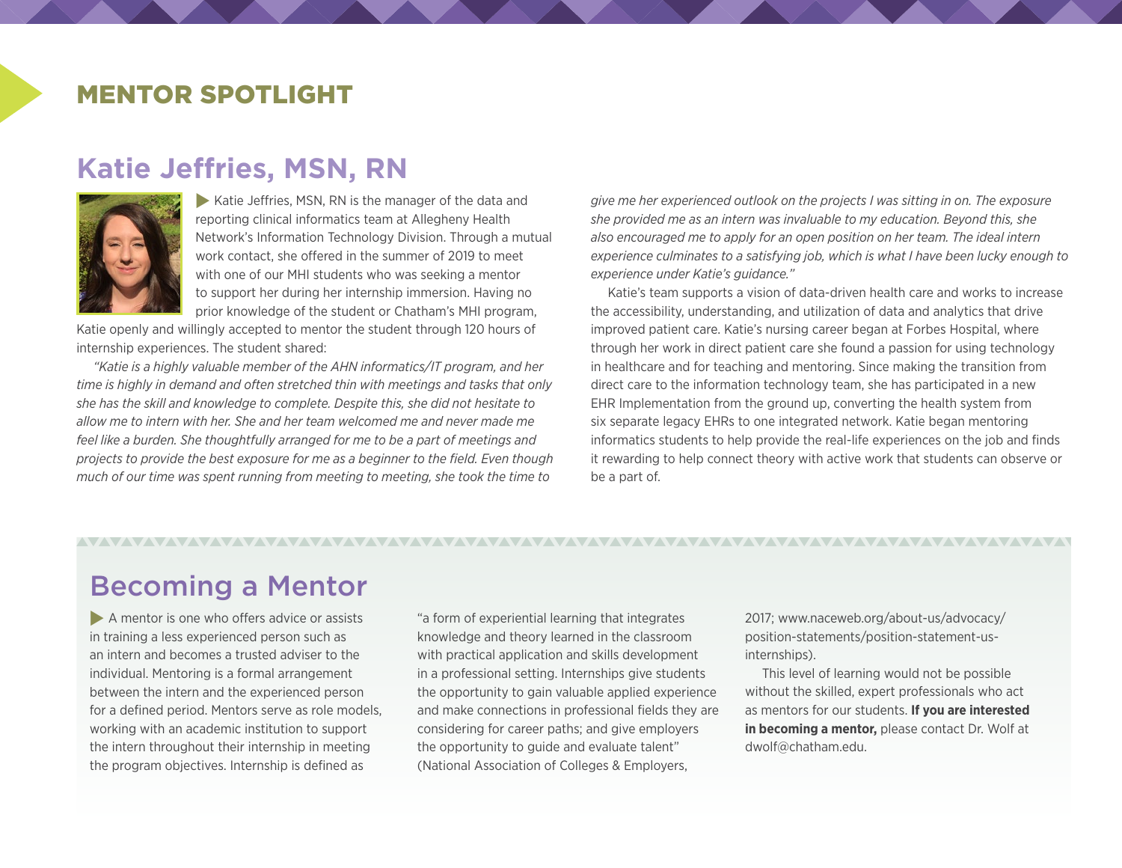#### MENTOR SPOTLIGHT

### **Katie Jeffries, MSN, RN**



 $\blacktriangleright$  Katie Jeffries, MSN, RN is the manager of the data and reporting clinical informatics team at Allegheny Health Network's Information Technology Division. Through a mutual work contact, she offered in the summer of 2019 to meet with one of our MHI students who was seeking a mentor to support her during her internship immersion. Having no prior knowledge of the student or Chatham's MHI program,

Katie openly and willingly accepted to mentor the student through 120 hours of internship experiences. The student shared:

*"Katie is a highly valuable member of the AHN informatics/IT program, and her time is highly in demand and often stretched thin with meetings and tasks that only she has the skill and knowledge to complete. Despite this, she did not hesitate to allow me to intern with her. She and her team welcomed me and never made me feel like a burden. She thoughtfully arranged for me to be a part of meetings and projects to provide the best exposure for me as a beginner to the field. Even though much of our time was spent running from meeting to meeting, she took the time to* 

*give me her experienced outlook on the projects I was sitting in on. The exposure she provided me as an intern was invaluable to my education. Beyond this, she also encouraged me to apply for an open position on her team. The ideal intern experience culminates to a satisfying job, which is what I have been lucky enough to experience under Katie's guidance."*

Katie's team supports a vision of data-driven health care and works to increase the accessibility, understanding, and utilization of data and analytics that drive improved patient care. Katie's nursing career began at Forbes Hospital, where through her work in direct patient care she found a passion for using technology in healthcare and for teaching and mentoring. Since making the transition from direct care to the information technology team, she has participated in a new EHR Implementation from the ground up, converting the health system from six separate legacy EHRs to one integrated network. Katie began mentoring informatics students to help provide the real-life experiences on the job and finds it rewarding to help connect theory with active work that students can observe or be a part of.

## Becoming a Mentor

 $\blacktriangleright$  A mentor is one who offers advice or assists in training a less experienced person such as an intern and becomes a trusted adviser to the individual. Mentoring is a formal arrangement between the intern and the experienced person for a defined period. Mentors serve as role models, working with an academic institution to support the intern throughout their internship in meeting the program objectives. Internship is defined as

"a form of experiential learning that integrates knowledge and theory learned in the classroom with practical application and skills development in a professional setting. Internships give students the opportunity to gain valuable applied experience and make connections in professional fields they are considering for career paths; and give employers the opportunity to guide and evaluate talent" (National Association of Colleges & Employers,

2017; [www.naceweb.org/about-us/advocacy/](http://www.naceweb.org/about-us/advocacy/position-statements/position-statement-us-internships/) [position-statements/position-statement-us](http://www.naceweb.org/about-us/advocacy/position-statements/position-statement-us-internships/)[internships](http://www.naceweb.org/about-us/advocacy/position-statements/position-statement-us-internships/)).

This level of learning would not be possible without the skilled, expert professionals who act as mentors for our students. **If you are interested in becoming a mentor,** please contact Dr. Wolf at dwolf@chatham.edu.